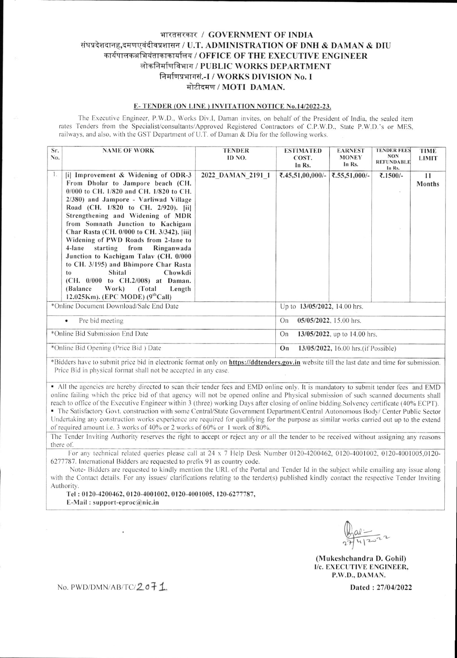# भारतसरकार / GOVERNMENT OF INDIA संघप्रदेशदानह,दमणएवंदीवप्रशासन / U.T. ADMINISTRATION OF DNH & DAMAN & DIU कार्यपालकअभियंताकाकार्यालय / OFFICE OF THE EXECUTIVE ENGINEER लोकनिर्माणविभाग / PUBLIC WORKS DEPARTMENT निर्माणप्रभागसं.-I / WORKS DIVISION No. I मोटीदमण / MOTI DAMAN.

## E-TENDER (ON LINE) INVITATION NOTICE No.14/2022-23.

The Executive Engineer, P.W.D., Works Div.I, Daman invites, on behalf of the President of India, the sealed item rates Tenders from the Specialist/consultants/Approved Registered Contractors of C.P.W.D., State P.W.D.'s or MES. railways, and also, with the GST Department of U.T. of Daman & Diu for the following works.

| Sr.<br>No.                              | <b>NAME OF WORK</b>                                                                                                                                                                                                                                                                                                                                                                                                                                                                                                                                                                                                                              | <b>TENDER</b><br>ID NO. | <b>ESTIMATED</b><br>COST.<br>In Rs.        | <b>EARNEST</b><br><b>MONEY</b><br>In Rs. | <b>TENDER FEES</b><br><b>NON</b><br><b>REFUNDABLE</b><br>In Rs. | <b>TIME</b><br><b>LIMIT</b> |  |
|-----------------------------------------|--------------------------------------------------------------------------------------------------------------------------------------------------------------------------------------------------------------------------------------------------------------------------------------------------------------------------------------------------------------------------------------------------------------------------------------------------------------------------------------------------------------------------------------------------------------------------------------------------------------------------------------------------|-------------------------|--------------------------------------------|------------------------------------------|-----------------------------------------------------------------|-----------------------------|--|
| 1.                                      | [i] Improvement & Widening of ODR-3<br>From Dholar to Jampore beach (CH.<br>$0/000$ to CH, $1/820$ and CH, $1/820$ to CH.<br>2/380) and Jampore - Varliwad Village<br>Road (CH. 1/820 to CH. 2/920). [ii]<br>Strengthening and Widening of MDR<br>from Somnath Junction to Kachigam<br>Char Rasta (CH. 0/000 to CH. 3/342). [iii]<br>Widening of PWD Roads from 2-lane to<br>4-lane starting from<br>Ringanwada<br>Junction to Kachigam Talav (CH. 0/000<br>to CH. 3/195) and Bhimpore Char Rasta<br>Shital<br>Chowkdi<br>to<br>(CH. 0/000 to CH.2/008) at Daman.<br>Work)<br>(Total<br>(Balance)<br>Length<br>12.025Km). (EPC MODE) $(9thCall)$ | 2022 DAMAN 2191 1       | ₹.45,51,00,000/-                           | ₹.55,51,000/-                            | ₹.1500/-                                                        | 11<br>Months                |  |
| *Online Document Download/Sale End Date |                                                                                                                                                                                                                                                                                                                                                                                                                                                                                                                                                                                                                                                  |                         | Up to 13/05/2022, 14.00 hrs.               |                                          |                                                                 |                             |  |
| Pre bid meeting<br>٠                    |                                                                                                                                                                                                                                                                                                                                                                                                                                                                                                                                                                                                                                                  |                         | 05/05/2022, 15.00 hrs.<br>On               |                                          |                                                                 |                             |  |
| *Online Bid Submission End Date         |                                                                                                                                                                                                                                                                                                                                                                                                                                                                                                                                                                                                                                                  |                         | On<br>13/05/2022, up to 14.00 hrs.         |                                          |                                                                 |                             |  |
| *Online Bid Opening (Price Bid) Date    |                                                                                                                                                                                                                                                                                                                                                                                                                                                                                                                                                                                                                                                  |                         | On<br>13/05/2022, 16.00 hrs. (if Possible) |                                          |                                                                 |                             |  |

\*Bidders have to submit price bid in electronic format only on https://ddtenders.gov.in website till the last date and time for submission. Price Bid in physical format shall not be accepted in any case.

• All the agencies are hereby directed to scan their tender fees and EMD online only. It is mandatory to submit tender fees and EMD online failing which the price bid of that agency will not be opened online and Physical submission of such scanned documents shall reach to office of the Executive Engineer within 3 (three) working Days after closing of online bidding. Solvency certificate (40% ECPT). · The Satisfactory Govt. construction with some Central/State Government Department/Central Autonomous Body/ Center Public Sector Undertaking any construction works experience are required for qualifying for the purpose as similar works carried out up to the extend

of required amount i.e. 3 works of 40% or 2 works of 60% or 1 work of 80%. The Tender Inviting Authority reserves the right to accept or reject any or all the tender to be received without assigning any reasons

there of.

For any technical related queries please call at 24 x 7 Help Desk Number 0120-4200462, 0120-4001002, 0120-4001005,0120-6277787. International Bidders are requested to prefix 91 as country code.

Note-Bidders are requested to kindly mention the URL of the Portal and Tender Id in the subject while emailing any issue along with the Contact details. For any issues/ clarifications relating to the tender(s) published kindly contact the respective Tender Inviting Authority.

Tel: 0120-4200462, 0120-4001002, 0120-4001005, 120-6277787, E-Mail: support-eproc $@$ nic.in

(Mukeshchandra D. Gohil) I/c. EXECUTIVE ENGINEER, P.W.D., DAMAN.

No. PWD/DMN/AB/TC/2 o71

Dated: 27/04/2022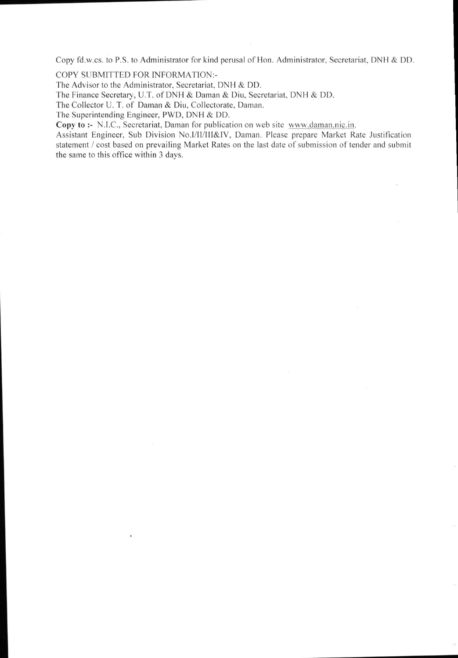Copy fd.w.cs. to P.S. to Administrator for kind perusal of Hon. Administrator. Secretariat. DNH & DD

COPY SUBMITTED FOR INFORMATION:-

The Advisor to the Administrator, Secretariat, DNH & DD.

The Finance Secretary, U.T. of DNH & Daman & Diu, Secretariat. DNH & DD.

The Collector U. T. of Daman & Diu, Collectorate, Daman.

The Superintending Engineer, PWD, DNH & DD.

Copy to :- N.I.C., Secretariat, Daman for publication on web site www.daman.nic.in.

Assistant Engineer, Sub Division No.I/II/III&IV, Daman. Please prepare Market Rate Justification statement / cost based on prevailing Market Rates on the last date of submission of tender and submit the same to this office within 3 days.